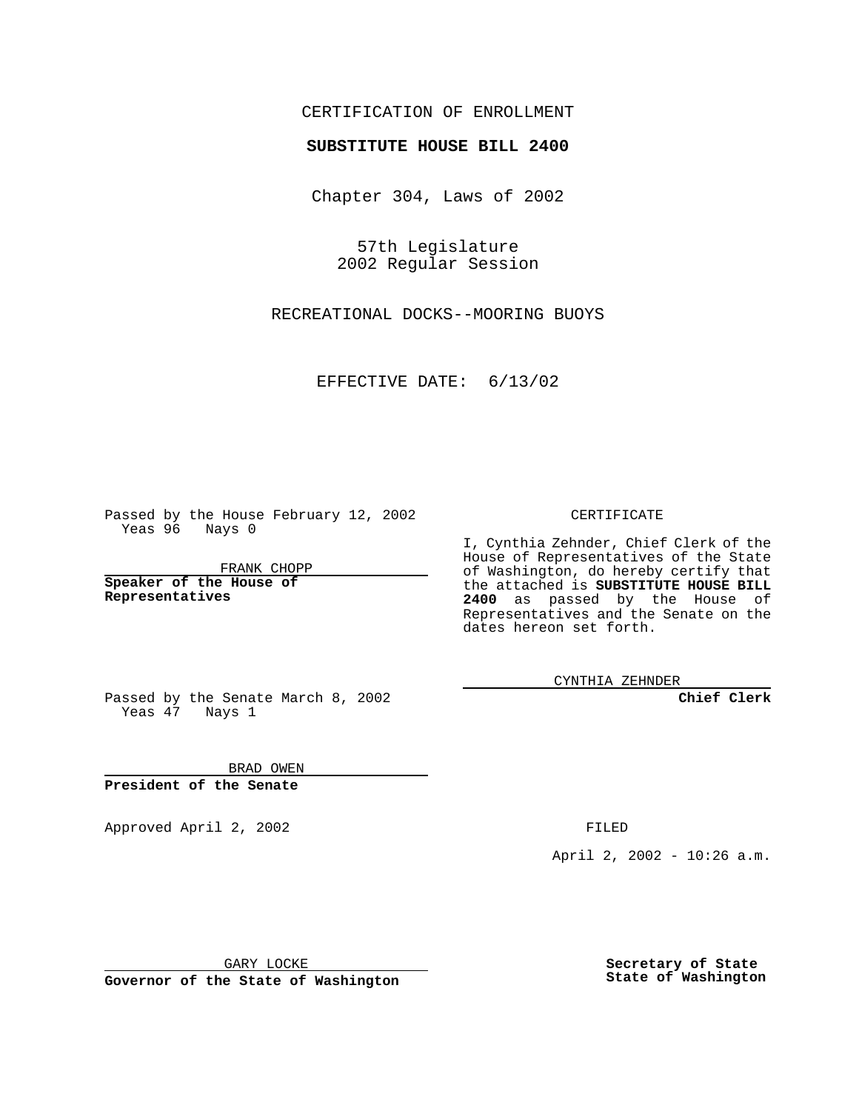## CERTIFICATION OF ENROLLMENT

## **SUBSTITUTE HOUSE BILL 2400**

Chapter 304, Laws of 2002

57th Legislature 2002 Regular Session

RECREATIONAL DOCKS--MOORING BUOYS

EFFECTIVE DATE: 6/13/02

Passed by the House February 12, 2002 Yeas 96 Nays 0

FRANK CHOPP

**Speaker of the House of Representatives**

CERTIFICATE

I, Cynthia Zehnder, Chief Clerk of the House of Representatives of the State of Washington, do hereby certify that the attached is **SUBSTITUTE HOUSE BILL 2400** as passed by the House of Representatives and the Senate on the dates hereon set forth.

CYNTHIA ZEHNDER

**Chief Clerk**

Passed by the Senate March 8, 2002 Yeas 47 Nays 1

BRAD OWEN **President of the Senate**

Approved April 2, 2002 **FILED** 

April 2, 2002 - 10:26 a.m.

GARY LOCKE

**Governor of the State of Washington**

**Secretary of State State of Washington**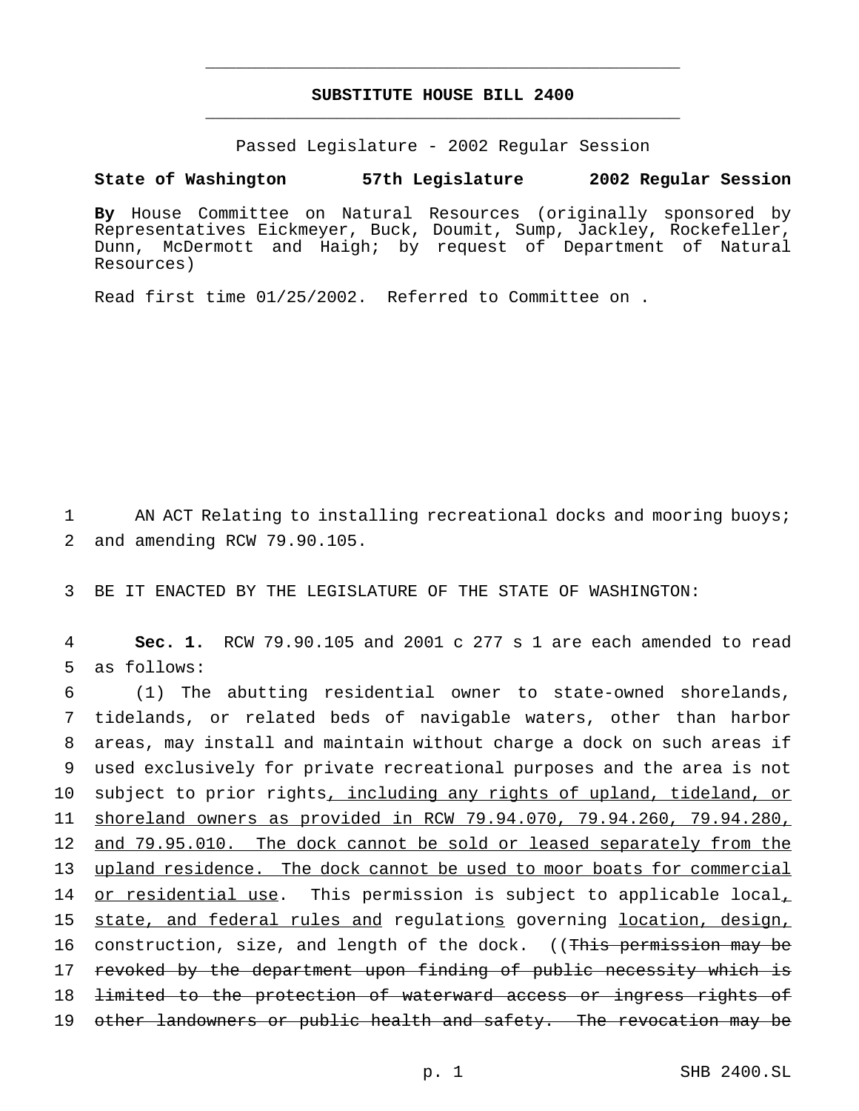## **SUBSTITUTE HOUSE BILL 2400** \_\_\_\_\_\_\_\_\_\_\_\_\_\_\_\_\_\_\_\_\_\_\_\_\_\_\_\_\_\_\_\_\_\_\_\_\_\_\_\_\_\_\_\_\_\_\_

\_\_\_\_\_\_\_\_\_\_\_\_\_\_\_\_\_\_\_\_\_\_\_\_\_\_\_\_\_\_\_\_\_\_\_\_\_\_\_\_\_\_\_\_\_\_\_

Passed Legislature - 2002 Regular Session

## **State of Washington 57th Legislature 2002 Regular Session**

**By** House Committee on Natural Resources (originally sponsored by Representatives Eickmeyer, Buck, Doumit, Sump, Jackley, Rockefeller, Dunn, McDermott and Haigh; by request of Department of Natural Resources)

Read first time 01/25/2002. Referred to Committee on .

1 AN ACT Relating to installing recreational docks and mooring buoys; 2 and amending RCW 79.90.105.

3 BE IT ENACTED BY THE LEGISLATURE OF THE STATE OF WASHINGTON:

4 **Sec. 1.** RCW 79.90.105 and 2001 c 277 s 1 are each amended to read 5 as follows:

6 (1) The abutting residential owner to state-owned shorelands, 7 tidelands, or related beds of navigable waters, other than harbor 8 areas, may install and maintain without charge a dock on such areas if 9 used exclusively for private recreational purposes and the area is not 10 subject to prior rights, including any rights of upland, tideland, or 11 shoreland owners as provided in RCW 79.94.070, 79.94.260, 79.94.280, 12 and 79.95.010. The dock cannot be sold or leased separately from the 13 upland residence. The dock cannot be used to moor boats for commercial 14 or residential use. This permission is subject to applicable local, 15 state, and federal rules and regulations governing location, design, 16 construction, size, and length of the dock. ((This permission may be 17 revoked by the department upon finding of public necessity which is 18 <del>limited to the protection of waterward access or ingress rights of</del> 19 other landowners or public health and safety. The revocation may be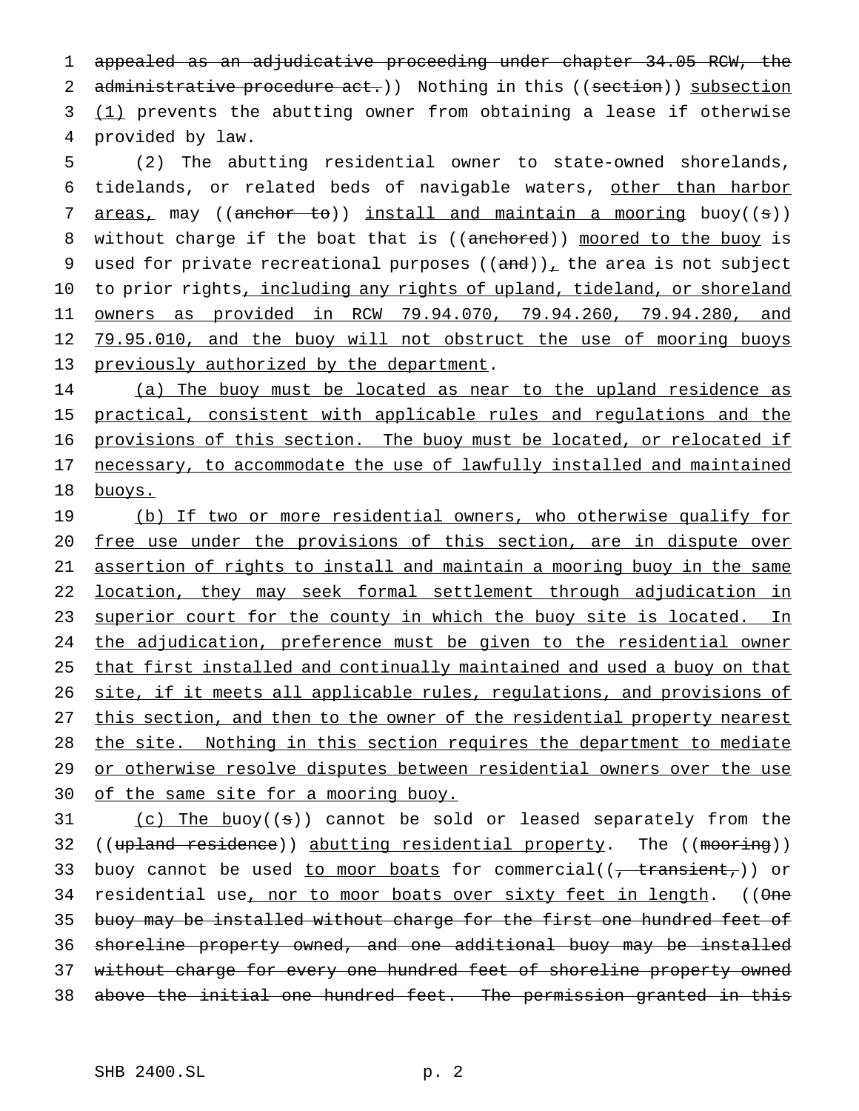1 appealed as an adjudicative proceeding under chapter 34.05 RCW, the 2 administrative procedure act.)) Nothing in this ((section)) subsection 3 (1) prevents the abutting owner from obtaining a lease if otherwise 4 provided by law.

5 (2) The abutting residential owner to state-owned shorelands, 6 tidelands, or related beds of navigable waters, other than harbor 7 areas, may ((anchor to)) install and maintain a mooring buoy((s)) 8 without charge if the boat that is ((anchored)) moored to the buoy is 9 used for private recreational purposes  $((and))_+$  the area is not subject 10 to prior rights, including any rights of upland, tideland, or shoreland 11 owners as provided in RCW 79.94.070, 79.94.260, 79.94.280, and 12 79.95.010, and the buoy will not obstruct the use of mooring buoys 13 previously authorized by the department.

14 (a) The buoy must be located as near to the upland residence as 15 practical, consistent with applicable rules and regulations and the 16 provisions of this section. The buoy must be located, or relocated if 17 necessary, to accommodate the use of lawfully installed and maintained 18 buoys.

19 (b) If two or more residential owners, who otherwise qualify for 20 free use under the provisions of this section, are in dispute over 21 assertion of rights to install and maintain a mooring buoy in the same 22 location, they may seek formal settlement through adjudication in 23 superior court for the county in which the buoy site is located. In 24 the adjudication, preference must be given to the residential owner 25 that first installed and continually maintained and used a buoy on that 26 site, if it meets all applicable rules, regulations, and provisions of 27 this section, and then to the owner of the residential property nearest 28 the site. Nothing in this section requires the department to mediate 29 or otherwise resolve disputes between residential owners over the use 30 of the same site for a mooring buoy.

31 (c) The buoy((s)) cannot be sold or leased separately from the 32 ((upland residence)) abutting residential property. The ((mooring)) 33 buoy cannot be used to moor boats for commercial((, transient,)) or 34 residential use, nor to moor boats over sixty feet in length. ((One 35 buoy may be installed without charge for the first one hundred feet of 36 shoreline property owned, and one additional buoy may be installed 37 without charge for every one hundred feet of shoreline property owned 38 above the initial one hundred feet. The permission granted in this